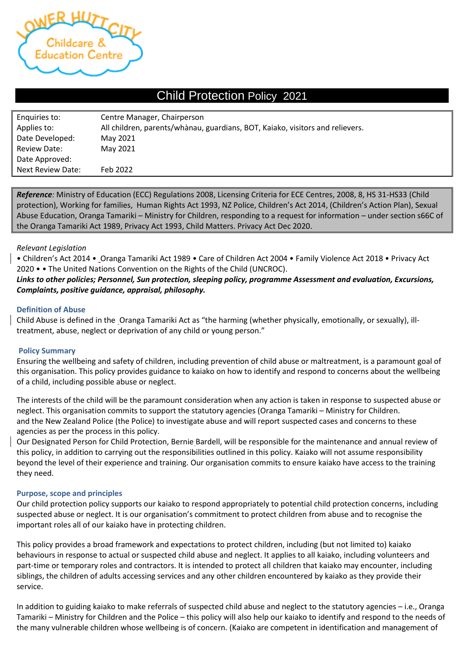

# Child Protection Policy 2021

| Enquiries to:            | Centre Manager, Chairperson                                                   |
|--------------------------|-------------------------------------------------------------------------------|
| Applies to:              | All children, parents/whànau, guardians, BOT, Kaiako, visitors and relievers. |
| Date Developed:          | May 2021                                                                      |
| <b>Review Date:</b>      | May 2021                                                                      |
| Date Approved:           |                                                                               |
| <b>Next Review Date:</b> | Feb 2022                                                                      |

*Reference:* Ministry of Education (ECC) Regulations 2008, Licensing Criteria for ECE Centres, 2008, 8, HS 31-HS33 (Child protection), Working for families, Human Rights Act 1993, NZ Police, Children's Act 2014, (Children's Action Plan), Sexual Abuse Education, Oranga Tamariki – Ministry for Children, responding to a request for information – under section s66C of the Oranga Tamariki Act 1989, Privacy Act 1993, Child Matters. Privacy Act Dec 2020.

#### *Relevant Legislation*

• Children's Act 2014 • Oranga Tamariki Act 1989 • Care of Children Act 2004 • Family Violence Act 2018 • Privacy Act 2020 • • The United Nations Convention on the Rights of the Child (UNCROC).

## *Links to other policies; Personnel, Sun protection, sleeping policy, programme Assessment and evaluation, Excursions, Complaints, positive guidance, appraisal, philosophy.*

#### **Definition of Abuse**

Child Abuse is defined in the Oranga Tamariki Act as "the harming (whether physically, emotionally, or sexually), illtreatment, abuse, neglect or deprivation of any child or young person."

## **Policy Summary**

Ensuring the wellbeing and safety of children, including prevention of child abuse or maltreatment, is a paramount goal of this organisation. This policy provides guidance to kaiako on how to identify and respond to concerns about the wellbeing of a child, including possible abuse or neglect.

The interests of the child will be the paramount consideration when any action is taken in response to suspected abuse or neglect. This organisation commits to support the statutory agencies (Oranga Tamariki – Ministry for Children. and the New Zealand Police (the Police) to investigate abuse and will report suspected cases and concerns to these agencies as per the process in this policy.

Our Designated Person for Child Protection, Bernie Bardell, will be responsible for the maintenance and annual review of this policy, in addition to carrying out the responsibilities outlined in this policy. Kaiako will not assume responsibility beyond the level of their experience and training. Our organisation commits to ensure kaiako have access to the training they need.

#### **Purpose, scope and principles**

Our child protection policy supports our kaiako to respond appropriately to potential child protection concerns, including suspected abuse or neglect. It is our organisation's commitment to protect children from abuse and to recognise the important roles all of our kaiako have in protecting children.

This policy provides a broad framework and expectations to protect children, including (but not limited to) kaiako behaviours in response to actual or suspected child abuse and neglect. It applies to all kaiako, including volunteers and part-time or temporary roles and contractors. It is intended to protect all children that kaiako may encounter, including siblings, the children of adults accessing services and any other children encountered by kaiako as they provide their service.

In addition to guiding kaiako to make referrals of suspected child abuse and neglect to the statutory agencies – i.e., Oranga Tamariki – Ministry for Children and the Police – this policy will also help our kaiako to identify and respond to the needs of the many vulnerable children whose wellbeing is of concern. (Kaiako are competent in identification and management of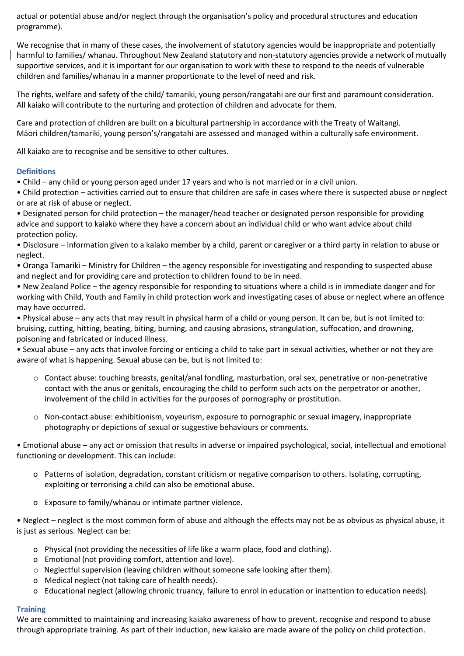actual or potential abuse and/or neglect through the organisation's policy and procedural structures and education programme).

We recognise that in many of these cases, the involvement of statutory agencies would be inappropriate and potentially harmful to families/ whanau. Throughout New Zealand statutory and non-statutory agencies provide a network of mutually supportive services, and it is important for our organisation to work with these to respond to the needs of vulnerable children and families/whanau in a manner proportionate to the level of need and risk.

The rights, welfare and safety of the child/ tamariki, young person/rangatahi are our first and paramount consideration. All kaiako will contribute to the nurturing and protection of children and advocate for them.

Care and protection of children are built on a bicultural partnership in accordance with the Treaty of Waitangi. Māori children/tamariki, young person's/rangatahi are assessed and managed within a culturally safe environment.

All kaiako are to recognise and be sensitive to other cultures.

## **Definitions**

• Child – any child or young person aged under 17 years and who is not married or in a civil union.

• Child protection – activities carried out to ensure that children are safe in cases where there is suspected abuse or neglect or are at risk of abuse or neglect.

• Designated person for child protection – the manager/head teacher or designated person responsible for providing advice and support to kaiako where they have a concern about an individual child or who want advice about child protection policy.

• Disclosure – information given to a kaiako member by a child, parent or caregiver or a third party in relation to abuse or neglect.

• Oranga Tamariki – Ministry for Children – the agency responsible for investigating and responding to suspected abuse and neglect and for providing care and protection to children found to be in need.

• New Zealand Police – the agency responsible for responding to situations where a child is in immediate danger and for working with Child, Youth and Family in child protection work and investigating cases of abuse or neglect where an offence may have occurred.

• Physical abuse – any acts that may result in physical harm of a child or young person. It can be, but is not limited to: bruising, cutting, hitting, beating, biting, burning, and causing abrasions, strangulation, suffocation, and drowning, poisoning and fabricated or induced illness.

• Sexual abuse – any acts that involve forcing or enticing a child to take part in sexual activities, whether or not they are aware of what is happening. Sexual abuse can be, but is not limited to:

- o Contact abuse: touching breasts, genital/anal fondling, masturbation, oral sex, penetrative or non-penetrative contact with the anus or genitals, encouraging the child to perform such acts on the perpetrator or another, involvement of the child in activities for the purposes of pornography or prostitution.
- o Non-contact abuse: exhibitionism, voyeurism, exposure to pornographic or sexual imagery, inappropriate photography or depictions of sexual or suggestive behaviours or comments.

• Emotional abuse – any act or omission that results in adverse or impaired psychological, social, intellectual and emotional functioning or development. This can include:

- o Patterns of isolation, degradation, constant criticism or negative comparison to others. Isolating, corrupting, exploiting or terrorising a child can also be emotional abuse.
- o Exposure to family/whānau or intimate partner violence.

• Neglect – neglect is the most common form of abuse and although the effects may not be as obvious as physical abuse, it is just as serious. Neglect can be:

- o Physical (not providing the necessities of life like a warm place, food and clothing).
- o Emotional (not providing comfort, attention and love).
- $\circ$  Neglectful supervision (leaving children without someone safe looking after them).
- o Medical neglect (not taking care of health needs).
- o Educational neglect (allowing chronic truancy, failure to enrol in education or inattention to education needs).

## **Training**

We are committed to maintaining and increasing kaiako awareness of how to prevent, recognise and respond to abuse through appropriate training. As part of their induction, new kaiako are made aware of the policy on child protection.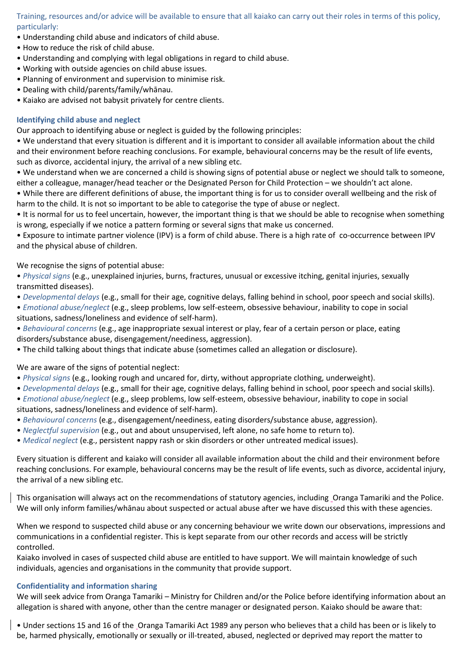Training, resources and/or advice will be available to ensure that all kaiako can carry out their roles in terms of this policy, particularly:

- Understanding child abuse and indicators of child abuse.
- How to reduce the risk of child abuse.
- Understanding and complying with legal obligations in regard to child abuse.
- Working with outside agencies on child abuse issues.
- Planning of environment and supervision to minimise risk.
- Dealing with child/parents/family/whānau.
- Kaiako are advised not babysit privately for centre clients.

#### **Identifying child abuse and neglect**

Our approach to identifying abuse or neglect is guided by the following principles:

• We understand that every situation is different and it is important to consider all available information about the child and their environment before reaching conclusions. For example, behavioural concerns may be the result of life events, such as divorce, accidental injury, the arrival of a new sibling etc.

• We understand when we are concerned a child is showing signs of potential abuse or neglect we should talk to someone, either a colleague, manager/head teacher or the Designated Person for Child Protection – we shouldn't act alone.

• While there are different definitions of abuse, the important thing is for us to consider overall wellbeing and the risk of harm to the child. It is not so important to be able to categorise the type of abuse or neglect.

• It is normal for us to feel uncertain, however, the important thing is that we should be able to recognise when something is wrong, especially if we notice a pattern forming or several signs that make us concerned.

• Exposure to intimate partner violence (IPV) is a form of child abuse. There is a high rate of co-occurrence between IPV and the physical abuse of children.

#### We recognise the signs of potential abuse:

• *Physical signs* (e.g., unexplained injuries, burns, fractures, unusual or excessive itching, genital injuries, sexually transmitted diseases).

- *Developmental delays* (e.g., small for their age, cognitive delays, falling behind in school, poor speech and social skills).
- *Emotional abuse/neglect* (e.g., sleep problems, low self-esteem, obsessive behaviour, inability to cope in social situations, sadness/loneliness and evidence of self-harm).

• *Behavioural concerns* (e.g., age inappropriate sexual interest or play, fear of a certain person or place, eating disorders/substance abuse, disengagement/neediness, aggression).

• The child talking about things that indicate abuse (sometimes called an allegation or disclosure).

We are aware of the signs of potential neglect:

- *Physical signs* (e.g., looking rough and uncared for, dirty, without appropriate clothing, underweight).
- *Developmental delays* (e.g., small for their age, cognitive delays, falling behind in school, poor speech and social skills).
- *Emotional abuse/neglect* (e.g., sleep problems, low self-esteem, obsessive behaviour, inability to cope in social situations, sadness/loneliness and evidence of self-harm).
- *Behavioural concerns* (e.g., disengagement/neediness, eating disorders/substance abuse, aggression).
- *Neglectful supervision* (e.g., out and about unsupervised, left alone, no safe home to return to).
- *Medical neglect* (e.g., persistent nappy rash or skin disorders or other untreated medical issues).

Every situation is different and kaiako will consider all available information about the child and their environment before reaching conclusions. For example, behavioural concerns may be the result of life events, such as divorce, accidental injury, the arrival of a new sibling etc.

This organisation will always act on the recommendations of statutory agencies, including Oranga Tamariki and the Police. We will only inform families/whānau about suspected or actual abuse after we have discussed this with these agencies.

When we respond to suspected child abuse or any concerning behaviour we write down our observations, impressions and communications in a confidential register. This is kept separate from our other records and access will be strictly controlled.

Kaiako involved in cases of suspected child abuse are entitled to have support. We will maintain knowledge of such individuals, agencies and organisations in the community that provide support.

## **Confidentiality and information sharing**

We will seek advice from Oranga Tamariki – Ministry for Children and/or the Police before identifying information about an allegation is shared with anyone, other than the centre manager or designated person. Kaiako should be aware that:

• Under sections 15 and 16 of the Oranga Tamariki Act 1989 any person who believes that a child has been or is likely to be, harmed physically, emotionally or sexually or ill-treated, abused, neglected or deprived may report the matter to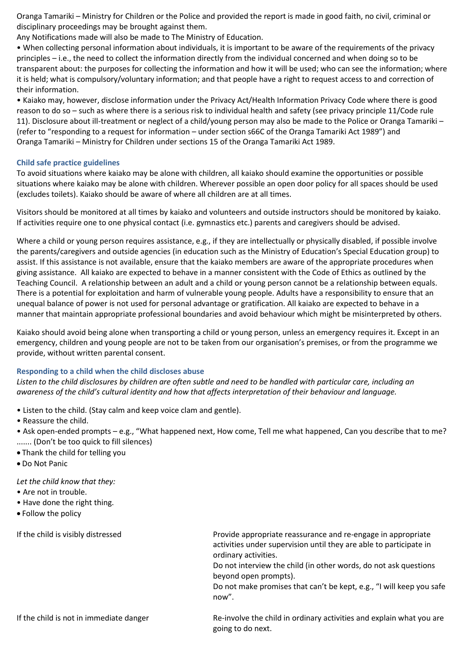Oranga Tamariki – Ministry for Children or the Police and provided the report is made in good faith, no civil, criminal or disciplinary proceedings may be brought against them.

Any Notifications made will also be made to The Ministry of Education.

• When collecting personal information about individuals, it is important to be aware of the requirements of the privacy principles – i.e., the need to collect the information directly from the individual concerned and when doing so to be transparent about: the purposes for collecting the information and how it will be used; who can see the information; where it is held; what is compulsory/voluntary information; and that people have a right to request access to and correction of their information.

• Kaiako may, however, disclose information under the Privacy Act/Health Information Privacy Code where there is good reason to do so – such as where there is a serious risk to individual health and safety (see privacy principle 11/Code rule 11). Disclosure about ill-treatment or neglect of a child/young person may also be made to the Police or Oranga Tamariki – (refer to "responding to a request for information – under section s66C of the Oranga Tamariki Act 1989") and Oranga Tamariki – Ministry for Children under sections 15 of the Oranga Tamariki Act 1989.

#### **Child safe practice guidelines**

To avoid situations where kaiako may be alone with children, all kaiako should examine the opportunities or possible situations where kaiako may be alone with children. Wherever possible an open door policy for all spaces should be used (excludes toilets). Kaiako should be aware of where all children are at all times.

Visitors should be monitored at all times by kaiako and volunteers and outside instructors should be monitored by kaiako. If activities require one to one physical contact (i.e. gymnastics etc.) parents and caregivers should be advised.

Where a child or young person requires assistance, e.g., if they are intellectually or physically disabled, if possible involve the parents/caregivers and outside agencies (in education such as the Ministry of Education's Special Education group) to assist. If this assistance is not available, ensure that the kaiako members are aware of the appropriate procedures when giving assistance. All kaiako are expected to behave in a manner consistent with the Code of Ethics as outlined by the Teaching Council. A relationship between an adult and a child or young person cannot be a relationship between equals. There is a potential for exploitation and harm of vulnerable young people. Adults have a responsibility to ensure that an unequal balance of power is not used for personal advantage or gratification. All kaiako are expected to behave in a manner that maintain appropriate professional boundaries and avoid behaviour which might be misinterpreted by others.

Kaiako should avoid being alone when transporting a child or young person, unless an emergency requires it. Except in an emergency, children and young people are not to be taken from our organisation's premises, or from the programme we provide, without written parental consent.

#### **Responding to a child when the child discloses abuse**

*Listen to the child disclosures by children are often subtle and need to be handled with particular care, including an awareness of the child's cultural identity and how that affects interpretation of their behaviour and language.*

- Listen to the child. (Stay calm and keep voice clam and gentle).
- Reassure the child.

• Ask open-ended prompts – e.g., "What happened next, How come, Tell me what happened, Can you describe that to me? ....... (Don't be too quick to fill silences)

- Thank the child for telling you
- Do Not Panic

*Let the child know that they:*

- Are not in trouble.
- Have done the right thing.
- Follow the policy

If the child is visibly distressed **Provide appropriate reassurance and re-engage in appropriate** activities under supervision until they are able to participate in ordinary activities.

> Do not interview the child (in other words, do not ask questions beyond open prompts).

Do not make promises that can't be kept, e.g., "I will keep you safe now".

If the child is not in immediate danger Re-involve the child in ordinary activities and explain what you are going to do next.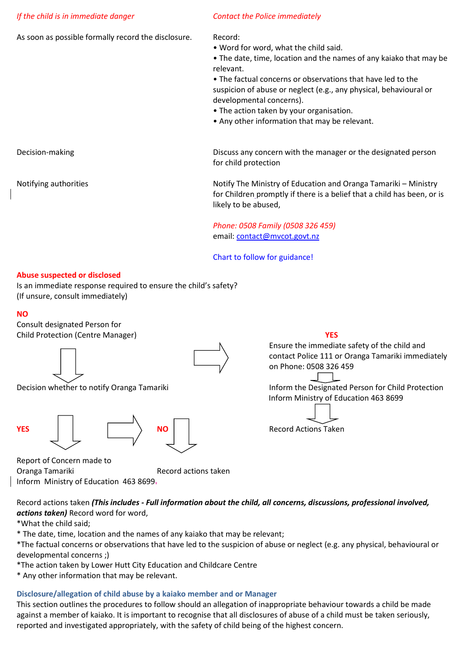#### *If the child is in immediate danger Contact the Police immediately*

As soon as possible formally record the disclosure. Record:

- Word for word, what the child said.
- The date, time, location and the names of any kaiako that may be relevant.

• The factual concerns or observations that have led to the suspicion of abuse or neglect (e.g., any physical, behavioural or developmental concerns).

- The action taken by your organisation.
- Any other information that may be relevant.

Decision-making Discuss any concern with the manager or the designated person for child protection

Notifying authorities Notify The Ministry of Education and Oranga Tamariki – Ministry for Children promptly if there is a belief that a child has been, or is likely to be abused,

> *Phone: 0508 Family (0508 326 459)* email: [contact@mvcot.govt.nz](mailto:contact@mvcot.govt.nz)

Chart to follow for guidance!

## **Abuse suspected or disclosed**

Is an immediate response required to ensure the child's safety? (If unsure, consult immediately)

#### **NO**

Consult designated Person for Child Protection (Centre Manager) **YES**









Report of Concern made to Oranga Tamariki Record actions taken Inform Ministry of Education 463 8699.

Ensure the immediate safety of the child and contact Police 111 or Oranga Tamariki immediately on Phone: 0508 326 459

Decision whether to notify Oranga Tamariki **Inform the Designated Person for Child Protection** Inform Ministry of Education 463 8699



Record actions taken *(This includes - Full information about the child, all concerns, discussions, professional involved, actions taken)* Record word for word,

\*What the child said;

\* The date, time, location and the names of any kaiako that may be relevant;

\*The factual concerns or observations that have led to the suspicion of abuse or neglect (e.g. any physical, behavioural or developmental concerns ;)

\*The action taken by Lower Hutt City Education and Childcare Centre

\* Any other information that may be relevant.

## **Disclosure/allegation of child abuse by a kaiako member and or Manager**

This section outlines the procedures to follow should an allegation of inappropriate behaviour towards a child be made against a member of kaiako. It is important to recognise that all disclosures of abuse of a child must be taken seriously, reported and investigated appropriately, with the safety of child being of the highest concern.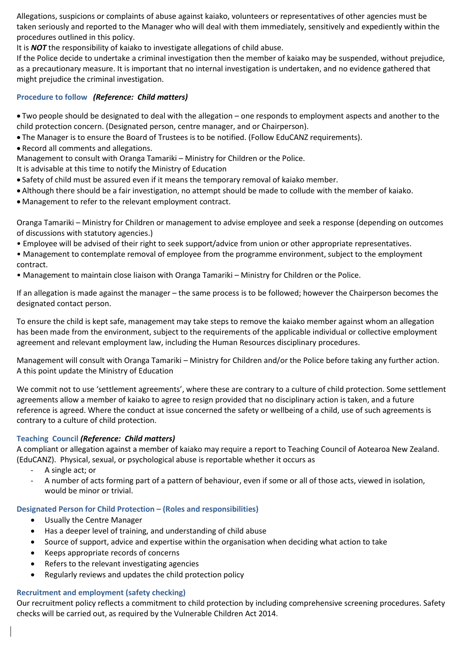Allegations, suspicions or complaints of abuse against kaiako, volunteers or representatives of other agencies must be taken seriously and reported to the Manager who will deal with them immediately, sensitively and expediently within the procedures outlined in this policy.

It is *NOT* the responsibility of kaiako to investigate allegations of child abuse.

If the Police decide to undertake a criminal investigation then the member of kaiako may be suspended, without prejudice, as a precautionary measure. It is important that no internal investigation is undertaken, and no evidence gathered that might prejudice the criminal investigation.

#### **Procedure to follow** *(Reference: Child matters)*

• Two people should be designated to deal with the allegation – one responds to employment aspects and another to the child protection concern. (Designated person, centre manager, and or Chairperson).

- The Manager is to ensure the Board of Trustees is to be notified. (Follow EduCANZ requirements).
- Record all comments and allegations.

Management to consult with Oranga Tamariki – Ministry for Children or the Police.

It is advisable at this time to notify the Ministry of Education

- Safety of child must be assured even if it means the temporary removal of kaiako member.
- Although there should be a fair investigation, no attempt should be made to collude with the member of kaiako.
- Management to refer to the relevant employment contract.

Oranga Tamariki – Ministry for Children or management to advise employee and seek a response (depending on outcomes of discussions with statutory agencies.)

- Employee will be advised of their right to seek support/advice from union or other appropriate representatives.
- Management to contemplate removal of employee from the programme environment, subject to the employment contract.
- Management to maintain close liaison with Oranga Tamariki Ministry for Children or the Police.

If an allegation is made against the manager – the same process is to be followed; however the Chairperson becomes the designated contact person.

To ensure the child is kept safe, management may take steps to remove the kaiako member against whom an allegation has been made from the environment, subject to the requirements of the applicable individual or collective employment agreement and relevant employment law, including the Human Resources disciplinary procedures.

Management will consult with Oranga Tamariki – Ministry for Children and/or the Police before taking any further action. A this point update the Ministry of Education

We commit not to use 'settlement agreements', where these are contrary to a culture of child protection. Some settlement agreements allow a member of kaiako to agree to resign provided that no disciplinary action is taken, and a future reference is agreed. Where the conduct at issue concerned the safety or wellbeing of a child, use of such agreements is contrary to a culture of child protection.

#### **Teaching Council** *(Reference: Child matters)*

A compliant or allegation against a member of kaiako may require a report to Teaching Council of Aotearoa New Zealand. (EduCANZ). Physical, sexual, or psychological abuse is reportable whether it occurs as

- A single act; or
- A number of acts forming part of a pattern of behaviour, even if some or all of those acts, viewed in isolation, would be minor or trivial.

#### **Designated Person for Child Protection – (Roles and responsibilities)**

- Usually the Centre Manager
- Has a deeper level of training, and understanding of child abuse
- Source of support, advice and expertise within the organisation when deciding what action to take
- Keeps appropriate records of concerns
- Refers to the relevant investigating agencies
- Regularly reviews and updates the child protection policy

#### **Recruitment and employment (safety checking)**

Our recruitment policy reflects a commitment to child protection by including comprehensive screening procedures. Safety checks will be carried out, as required by the Vulnerable Children Act 2014.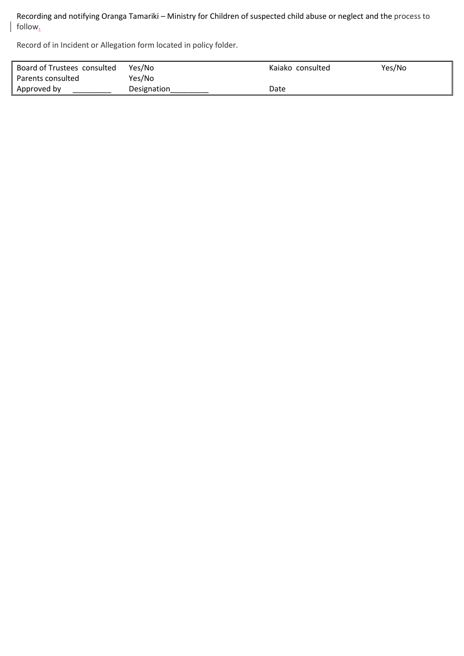Recording and notifying Oranga Tamariki – Ministry for Children of suspected child abuse or neglect and the process to follow.

Record of in Incident or Allegation form located in policy folder.

 $\overline{\phantom{a}}$ 

| Board of Trustees consulted | Yes/No      | Kaiako consulted | Yes/No |
|-----------------------------|-------------|------------------|--------|
| Parents consulted           | Yes/No      |                  |        |
| Approved by                 | Designation | Date             |        |